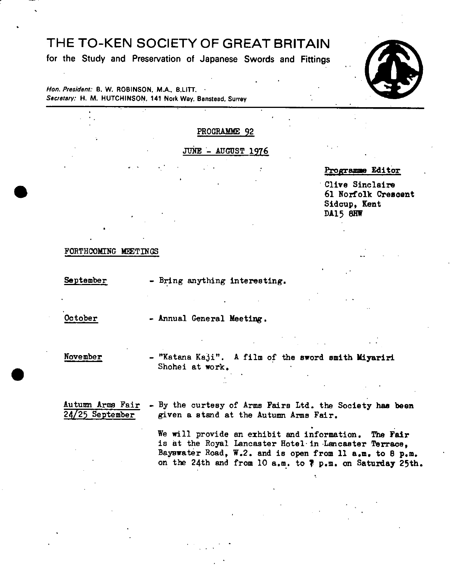# THE TO-KEN SOCIETY OF GREAT BRITAIN

**for the Study and Preservation of Japanese Swords and Fittings** 

**Hon. President: B. W. ROBINSON.** .M.A.. **B.LITT. Secretary: H. M. HUTCHINSON, 141 Nork Way, Banstead, Surrey** 

## PROGRAMME 92

JUNE - AUGUST 1976



Programme Editor

Clive Sinclaire<br>61 Norfolk Crescent<br>81 Norfolk Crescent Sidoup, Kent DA15 8HW

FORTHCOMING MEETINGS

September - Bring anything interesting.

October - Annual General Meeting.

November - "Katana Kaji". A film of the sword smith **Miyariri**  Shohei at work.

Autumn Arms Fair - By the curtesy of Arms Pairs Ltd. the Society has been  $24/25$  September given a stand at the Autumn Arms Fair.

> We will provide an exhibit and information. The Fair is at the Royal Lancaster Hotel- in Lancaster Terrace, Baynwater Road, W.2. and is open from Il a.m. to 8 p.m. on the 24th and from 10 a.rn. to **7** p.m. on Saturday 25th.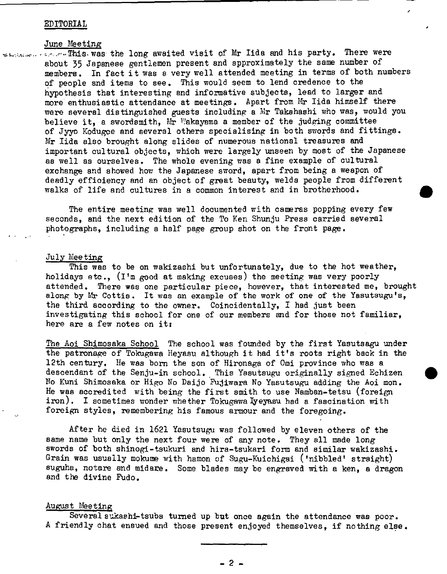## EDITORIAL

الدافعين ورويدة كالمنا

#### June Meeting

T.s. was the long awaited visit of Mr lids and his party. There were about 35 Japanese gentlemen present and approximately the same number of members. In fact it was a very well attended meeting in terms of both numbers of people and items to see. This would seem to lend credence to the hypothesis that interesting and informative subjects, lead to larger and more enthusiastic attendance at meetings. Apart from Mr lida himself there were several distinguished guests including a Nr Takahashi who was, would you believe it, a swordsmith,  $Mr$  Wakayama a member of the judging committee of Jyyo Kodugee and several others specialising in both swords and fittings. Mr lida also brought along slides of numerous national treasures and important cultural objects, which were largely unseen by most of the Japanese as well as ourselves. The whole evening was a fine example of cultural exchange and showed how the Japanese sword, apart from being a weapon of deadly efficiency and an object of great beauty, welds people from different walks of life and cultures in a common interest and in brotherhood.

The entire meeting was well documented with cameras popping every few seconds, and the next edition of the To Ken Shunju Press carried several photographs, including a half page group shot on the front page.

## July Meeting

This was to be on wakizashi but unfortunately, due to the hot weather, holidays etc.,  $(I<sup>T</sup>m$  good at making excuses) the meeting was very poorly attended. There was one particular piece, however, that interested me, brought along by Mr Cottis. It was an example of the work of one of the Yasutsugu's, the third according to the owner. Coincidentally, I had just been investigating this school for one of our members and for those not familiar, here are a few notes on it:

The Aol Shimosaka School The school was founded by the first Yasutsagu under the patronage of Tokugawa Heyasu although it had it's roots right back in the 12th century. He was born the son of Hironaga of Omi province who was a descendant of the Senju-in school. This Yasutsugu originally signed Echizen No Kuni Shimosaka or Higo No Daijo Puzjiwara No Yasutsugu adding the Aoi mon. He was accredited with being the first smith to use Namban-tetsu (foreign iron). I sometimes wonder whether Tokugawalyeyasu had a fascination with foreign styles, remembering his famous armour and the foregoing.

After he died in 1621 Yasutsugu was followed by eleven others of the same name but only the next four were of any note. They all made long swords of both shinogi-tsukuri and hira-tsukari form and similar wakizashi. Grain was usually mokume with hamon of Sugu-Kuichigai ('nibbled' straight) suguha, notare and midare. Some blades may be engraved with a ken, a dragon and the divine Fudo.

## August Meeting

Several sukashl-tsuba turned up but once again the attendance was poor. A friendly chat ensued and those present enjoyed themselves, if nothing else.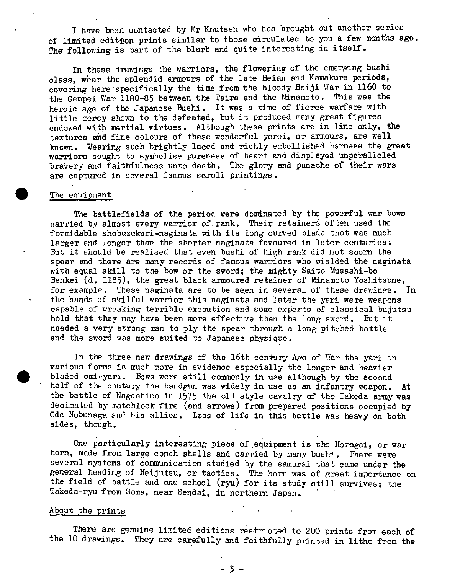I have been contacted by Mr Knutsen who has brought out another series of limited editton prints similar to those circulated to you a few months ago. The following is part of the blurb and quite interesting in itself.

In these drawings the warriors, the flowering of the emerging bushi class, wear the splendid armours of the late Heian and Kamakura periods, covering here specifically the time from the bloody Heiji War in 1160 to the Gempei War 1180-85 between the Taira and the Minamoto. This was the heroic age of the Japanese Bushi. It was a time of fierce warfare with little mercy shown to the defeated, but it produced many great figures endowed with martial virtues. Although these prints are in line only, the textures and fine colours of these wonderful yoroi, or armours, are well known. Wearing such brightly laced and richly embellished harness the great warriors sought to symbolise pureness of heart and displayed unpa'ralleled bravery and faithfulness unto death. The glory and panache of their wars are captured in several famous scroll printings.

## The equipment

The battlefields of the period were dominated by the powerful war bows carried by almost every warrior of rank. Their retainers often used the formidable shobuzukuri-naginata with its long curved blade that was much larger and longer than the shorter naginata favoured in later centuries. But it should be realised that even bushi of high rank did not scorn the spear and there are many records of famous warriors who wielded the naginata with equal skill to the bow or the sword; the mighty Saito Musashi-bo Benkei  $(d. 1185)$ , the great black armoured retainer of Minamoto Yoshitsune. for example. These naginata are to be seen in several of these drawings. In the hands of skilful warrior this naginata and later the yari were weapons capable of wreaking terrible execution and some experts of classical bujutsu hold that they may have been more effective than the long sword. But it needed a very strong man to ply the spear through a long pitched battle and the sword was more suited to Japanese physique.

In the three new drawings of the 16th century Age of War the yari in various forms is much more in evidence especially the longer and heavier bladed omi-yari. Bows were still commonly in use although by the second half of the century the handgun was widely in use as an infantry weapon. At the battle of Nagashino in 1575 the old style cavalry of the Takeda army was decimated by matchlock fire (and arrows) from prepared positions occupied by Oda Nobunaga and his allies. Loss of life **in** this battle was heavy on both sides, though.

One particularly interesting piece of equipment is the Horagai, or war horn, made from large conch shells and carried by many bushi. There were several systems of communication studied by the samurai that came under the general heading of Heijutsu, or tactics. The horn was of great importance on the field of battle and one school (ryu) for its study still survives; the Takeda-ryu from Soma, near Sendai, in northern Japan.

## About the prints

There are genuine limited editions restricted to 200 prints from each of the 10 drawings. They are carefully and faithfully printed in litho from the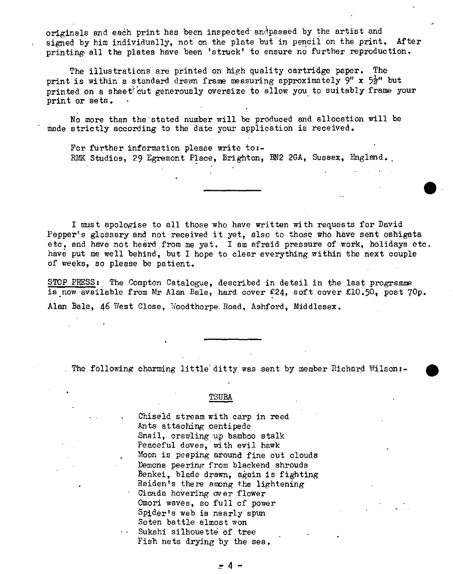originals and eaáh print has been inspected andpassëd by the artist and signed by him individually, not on the plate but in pencil on the print. After printing- all the plates have been 'struck' to ensure no further reproduction.

The illustrations are printed on high quality cartridge paper. The print is within a standard drawn frame measuring approximately  $9"$  x  $5\frac{1}{2}"$  but printed on a sheet cut generously oversize to allow you to suitably frame your print or sets.

No more than the stated number will be produced and allocation will be made strictly according to the date your application is received.

For further information please write  $\text{to:}-$ RMK Studios, 29 Egremont Place, Brighton, BN2 2GA, Sussex, England.

I must apologise to all those who have written with requests for David Pepper's glossary and not received it yet, also to those who have sent oshigata etc. and have not heard from me yet. I am afraid pressure of work, holidays etc. have put me well behind, but I hope to clear everything within the next couple of weeks, so please be patient.

STOP PRESS: The Compton Catalogue, described in detail in the last programme is now available from Mr Alan Bale, hard cover £24, soft cover £10.50, post 70p. Alan Bale, 46 West Close, Woodthorpe Road, Ashford, Middlesex.

. The following charming little ditty was sent by member Richard Wilson:-

TSUBA

Chiseld stream with carp in reed Ants attaching centipede Snail, crawling up bamboo stalk Peaceful doves, with evil hawk Moon is peeping around fine cut clouds Demons peering from blackend shrouds Benkei, blade drawn, again is fighting Raiden's there among the lightening Cicada hovering over flower Omori waves, so full of power Spider's web is nearly spun Soten battle almost won Sukahi silhouette of tree Fish nets drying by the sea.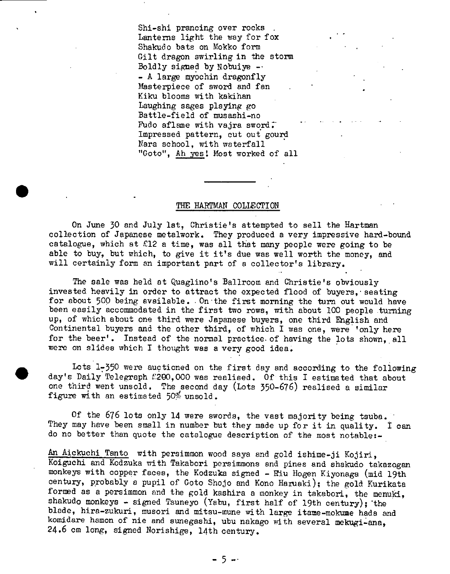Shi-shi prancing over rocks Lanterns light the way for fox Shakudo bats on Mokko form Gilt dragon swirling in the storm Boldly signed by Nobuiye  $-$ - A large myochin dragonfly Masterpiece of sword and fan Kiku blooms with kakihan Laughing sages playing go Battle-field of musashi-no Fudo aflame with vajra sword. Impressed pattern, cut out gourd Nara school, with waterfall "Goto", Ah yes! Most worked of all

## THE HARTMAN COLLECTION

On June 30 and July 1st, Christie's attempted to sell the Hartman collection of Japanese metalwork. They produced a very impressive hard-bound catalogue, which at  $£12$  a time, was all that many people were going to be able to buy, but which, to give it it's due was well worth the money, and will certainly form an important part of a collector's library.

The sale was held at Quaglino's Ballroom and Christie's obviously invested heavily in order to attract the expected flood of buyers, seating for about 500 being available. On the first morning the turn out would have been easily accommodated in the first two rows, with about 100 people turning up, of which about one third were Japanese buyers, one third English and Continental buyers and the other third, of which I was one, were 'only here for the beer'. Instead of the normal practice. of having the lots shown, all were on slides which I thought was a very good idea.

Lots 1-350 were auctioned on the first day and according to the following day's Daily Telegraph £200,000 was realised. Of this I estimated that about one third went unsold. The second day (Lots 350-676) realised a similar figure with an estimated 50% unsold.

Of the 676 lots only 14 were swords, the vast majority being tsuba. They may have been small in number but they made up for it in quality. I can do no better than quote the catalogue description of the most notable:-

An Aickuchi Tanto with persimmon wood saya and gold ishime-ji Kojiri, Koiguchi. and Kodzuka with Takabori persimmons and pines and shakudo takazogan monkeys with copper faces, the Kodzuka signed - Riu Hogen Kiyonaga (mid 19th century, probably a pupil of Goto Shojo and Kono Haruaki); the gold Kurikata formed as a persimmon and the gold kashira a monkey in takabori, the menuki, shakudo monkeys - signed Tsuneyo (Yabu, first half of 19th century); the blade, hira-zukuri, musori and mitsu-mune with large itame-mokume hada and komidare hamon of nie and sunegashi, ubu nakago with several mekugi-ana, 24.6 cm long, signed Norishige, 14th century.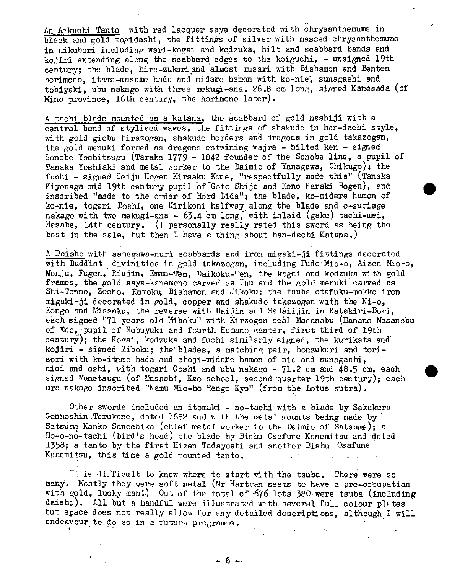An Aikuchi Tanto with red lacquer saya decorated with chrysanthemums in black and gold togidashi, the fittings of silver with massed chrysanthemums in nikubori including wari-kogai and kodzuka, hilt and scabbard bands and kojiri extending along the scabbard edges to the koiguchi,  $-$  unsigned 19th century; the blade, hira-zukariand almost musari with Bishamon and Benten horimono, itame-masame hada and midare hamon with ko-nie, sunagashi and tobiyaki, ubu nakago with three mekugi-ana. 26.8 cm long, signed Kanesada (of Mino province, 16th century, the horimono later).

A tachi blade mounted as a katana, the scabbard of gold nashiji with a central band of stylised waves, the fittings of shakudo in han-dachi style, with gold giobu hirazogan, shakudo borders and dragons in gold takazogan, the gold menuki formed as dragons entwining vajra - hilted ken - signed Sonobe Yoshitsugu (Taraka 1779 - 1842 founder of the Sonobe line, a pupil of Tanaka Yoshiaki and metal worker to the Daimio of Yanagawa, Chikugo); the fuchi - signed Seiju Hogen Kirsaku Kore, "respectfully made this" (Tanaka Kiyonaga mid 19th century pupil of Goto Shijo and Kono Haraki Hogen), and inscribed "made to the order of Hord Lida"; the blade, ko-midare hamon of ko-nie, togari Boshi, one Kirikoni halfway along the blade and o-suriage nakago with two mekugi-ana - 63.4 cm long, with inlaid (gaku) tachi-mei, Hasabe, 14th century. (i personally really rated this sword as being the best in the sale, but then I have a thing about han-dachi Katana.)

A Daisho with samegawa-nuri scabbards and iron migaki-ji fittings decorated with Buddist divinities in gold takazogan, including Fudo Mio-o, Aizen Mio-o, Monju, Pugen, Riujin, Emma-Ten, Daikoku-Ten, the kogai and kodzuka with gold frames, the gold saya-kanemono carved as Inu and the gold menuki carved as Shi-Tenno, Zocho, Komoku, Bishamon and Jikoku; the tsuba otafuku-mokko iron migaki-ji decorated in gold, copper and shakudo takazogan with the  $Ni$ -o, Kongo and Missaku, the reverse with Daijin and Sadàiijin in Katakiri-Bori, each signed "71 years old Miboku" with Kirzogan seal Masanobu (Hamano Masanobu of Edo, pupil of Nobuyukj and fourth ilamano onaster, first third of 19th century); the Kogai, kodzuka and fuchi similarly signed, the kurikata and kojiri - signed Miboku; the blades, a matching pair, honzukuri and torizori with ko-itame hada and choji-midare hamon of nie and sunagashi, nioi and ashi, with togari Goshi and ubu nakago  $-71.2$  cm and  $48.5$  cm, each signed Munetsugu (of Musashi, Kao school, second quarter 19th century); each ura nakago inscribed "Namu Mio-ho Renge Kyo"<sup> $\epsilon$ </sup> (from the Lotus sutra).

Other swords included an itomaki - no-tachi with a blade by Sakakura Gonnoshin.Terukane, dated 1682 and with the metal mounts being made by• Satsüma Kanko Sanechika (chief metal worker to the Daimio of Satsuma); a Ho-o-no-tachi (bird's head) the blade by Bishu Osafune Kanemitsu and dated 1358; a tanto by the first Hizen Tadayoshi and another Bishu Osafune Kanemitsu, this time a gold mounted tanto.

It is difficult to know where to start with the tsuba. There were so many. Mostly they were soft metal (Mr Hartman seems to have a pre-occupation with gold, lucky man!) Out of the total of 676 lots 380 were tsuba (including daisho). All but a handful were illustrated with several full colour plates but space does not really allow for any detailed descriptions, although I will endeavour to do so in a future programme.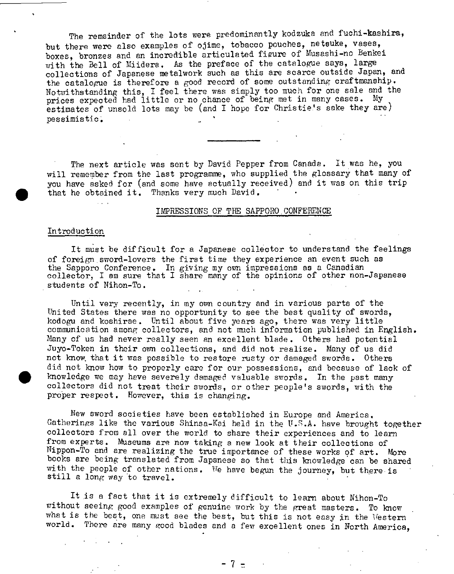The remainder of the lots were predominantly kodzuka and fuchi-kashira, but there were also examples of ojime, tobacco pouches, netsuke, vases, boxes, bronzes and an incredible articulated figure of Musashi-no Benkei with the Bell of Miidera. As the preface of the catalogue says, large collections of Japanese metalwork such as this are scarce outside Japan, and the catalogue is therefore a good record of some outstanding craftmanship. Notwithstanding this, I feel there was simply too much for one sale and the prices expected had little or no chance of being met in many cases. My estimates of unsold lots may be (and I hope for Christie's sake they are) pessimistic.

The next article was sent by David Pepper from Canada. It was he, you will remember from the last programme, who supplied the glossary that many of you have asked for (and some have actually received) and it was on this trip that he obtained it. Thanks very much David.

#### IMPRESSIONS OF THE SAPPORO CONFERENCE

#### Introduction

 $\bullet$ 

It must be difficult for a Japanese collector to understand the feelings of foreign sword-lovers the first time they experience an event such as the Sapporo Conference. In giving my own impressions as a Canadian collector, I am sure that I share many of the opinions of other non-Japanese students of Nihon-To.

Until very recently, in my own country and in various parts of the United States there was no opportunity to see the best quality of swords, kodogu and koshirae. Until about five years ago, there was very little communication among collectors, and not much information published in English. Many of us had never really seen an excellent blade. Others had potential Juyo-Token in their own collections, and did not realize. Many of us did not know that it was possible to restore rusty or damaged swords. Others did not know how to properly care for our possessions, and because of lack of • knowledge we may have severely damaged valuable swords. In the past many collectors did not treat their swords, or other people's swords, with the proper respect. However, this is changing.

New sword societies have been established in Europe and America. Gatherings like the various Shinsa-Kai held in the U.S.A. have brought together collectors from all over the world to share their experiences and to learn from experts. Museums are now taking a new look at their collections of Nippon-To and are realizing the true importance of these works of art. More books are being translated from Japanese so that this knowledge can be shared with the people of other nations. We have begun the journey, but there is still a long way to travel.

It is a fact that it is extremely difficult to learn about Nihon-To without seeing good examples of genuine work by the great masters. To know what is the best, one must see the best, but this is not easy in the Western world. There are many good blades and a few excellent ones in North America,

 $-7$  =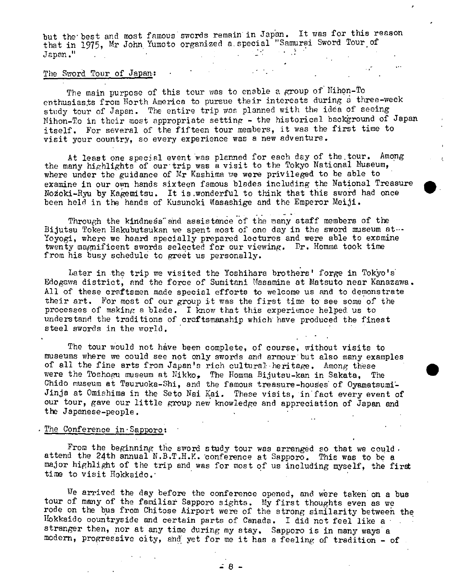but the best and most famous swords remain in Japan. It was for this reason that in 1975, Mr John Yumoto organized a special "Samurai Sword Tour of Janan." Japan."

## The Sword Tour of Japan:

The main purpose of this tour was to enable a group of Nihon-To enthusiasts from North America to pursue their interests during a three-week study tour of Japan. The entire trip was planned with the idea of seeing Nihon-To in their most appropriate setting - the historical background of Japan itself. For several of the fifteen tour members, it was the first time to visit your country, so every experience was a new adventure.

At least one special event was planned for each day of the tour. Among the many highlights of our trip was a visit to the Tokyo National Museum, where under the guidance of  $Mr$  Kashima we were privileged to be able to examine in our own hands sixteen famous blades including the National Treasure Nozoki-Ryu by Kagemitsu. It is wonderful to think that this sword had once been held in the hands of Kusunoki Masashige and the Emperor Meiji.

Through the kindness and assistance of the many staff members of the Bijutsu Token Hakubutsukan we spent most of one day in the sword museum at... Yoyogi, where we heard specially prepared lectures and were able to examine twenty magnificent swords selected for our viewing. Dr. Homma took time from his busy schedule to greet us personally.

Later in the trip we visited the Yoshihara brothers' forge in Tokjo's Edogawa district, and the force of Sumitani Uasamine at Matsuto near Kanazawa. All of these craftsmen made special efforts to welcome us and to demonstrate their art. For most of our group it was the first time to see some of the processes of making a blade. I know that this experience helped. us to understand the traditions of craftsmanship which have produced the finest steel swords in the world.

The tour would not have been complete, of course, without visits to museums where we could see not only swords and armour but also many examples of all the fine arts from Japan's rich cultural heritage. Among these were the Toshogu museum at Nikko, The Homma Bijutsu-kan in Sakata. The Chido museum at Tsuruoka-Shi, and the famous treasure-houes of Oyamataumi-Jinja at Omishima in the Seto Nai Kai. These visits, in fact every event of our tour, gave our little group new knowledge and appreciation of Japan and the Japanese-people.

## The Conference  $in-Sapporo:$

From the beginning the sword study tour was arranged so that we could. attend the 24th annual N.B.T.H.K. conference at Sapporo. This was to be a major highlight of the trip and was for most of us including myself, the first time to visit Hokkaido.

We arrived the day before the conference opened, and were taken *on* a bus tour of many of the familiar Sapporo sights. My first thoughts even as we rode on the bus from Chitose Airport were of the strong similarity between the Hokkaido countryside and certain parts of Canada. I did not feel like a stranger then, nor at any time during my stay. Sapporo is in many ways a modern, progressive city, and yet for me it has a feeling of tradition - of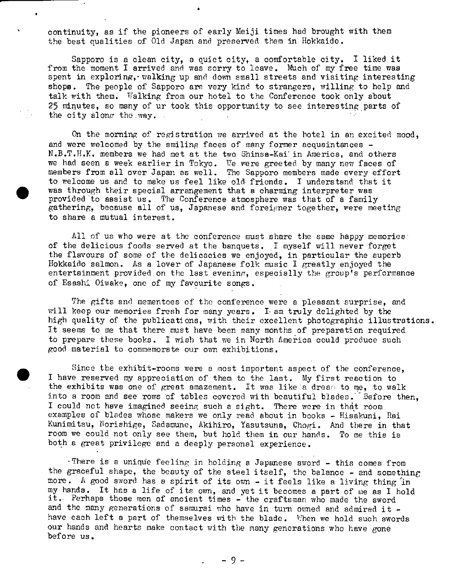continuity, as if the pioneers of early Meiji times had brought with them the best qualities of Old Japan and preserved them in Hokkaido.

Sapporo is a clean city, a quiet city, a comfortable city. I liked it from the moment I arrived and was sorry to leave. Much of my free time was spent in exploring, valking up and down small streets and visiting interesting shops. The people of Sapporo are very kind to strangers, willing to help and talk with them. Walking from our hotel to the Conference took only about 25 minutes, so many of ur took this opportunity to see interesting parts of the city along the way.

On the morning of registration we arrived at the hotel in an excited mood, and were welcomed by the smiling faces of many former acquaintances  $-$ N.B.T.H.K. members we had met at the two Shinsa-Kai in America, and others we had seen a week earlier in Tokyo. We were greeted by many new faces of members from all over Japan as well. The Sapporo members made every effort to welcome us and to make us feel like old friends. I understand that it was through their special arrangement that a charming interpreter was provided to assist us. The Conference atmosphere was that of a family gathering, because all of us, Japanese and foreigner together, were meeting to share a mutual interest.

All of us who were at the conference must share the same happy memories. of the delicious foods served at the banquets. I myself will never forget the flavours of some of the delicacies we enjoyed, in particular the superb Hokkaido salmon. As a lover of Japanese folk music I greatly enjoyed the entertainment provided on the last evening, especially the group's performance of Esashi Oiwake, one of my favourite songs.

The gifts and mementoes of the conference were a pleasant surprise, and will keep our memories fresh for many years. I am truly delighted by the high quality of the publications, with their excellent photographic illustrations. It seems to me that there must have been many months of preparation required to prepare these books. I wish that we in North America could produce such good material to commemorate our own exhibitions.

Since the exhibit-rooms were a most important aspect of the conference. I have reserved my appreciation of them to the last. My first reaction to the exhibits was one of great amazement. It was like a dream to me, to walk into a room and see rows of tables covered with beautiful blades. Before then, I could not have imagined seeing such a sight. There were in that room examples of blades whose makers we only read about in books - Hisakuni, Rai Kunimitsu, Norishige, Sadamune, Akihiro, Yasutsuna, Chogi. And there in that room we could not only see them, but hold them in our hands. To me this is both a great privilege and a deeply personal experience.

•There is a unique feeling in holding a Japanese sword - this comes from the graceful shape, the beauty of the steel itself, the balance - and something more. A good sword has a spirit of its own - it feels like a living thing in my hands. It has a life of its ovm, and yet it becomes a part of me as I hold it. Perhaps those men of ancient times - the craftsman who made the sword and the many generations of samurai who have in turn owned and admired it  $$ have each left a part of themselves with the blade. When we hold such swords our hands and hearts make contact with the many generations who have gone before us.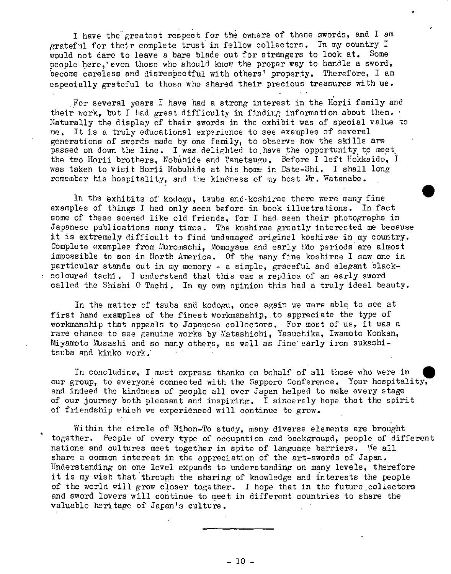I have the greatest respect for the owners of these swords, and I am grateful for their complete trust in fellow collectors. In my country I would not dare to leave a bare blade out for strangers to look at. Some people here, even those who should know the proper way to handle a sword, become careless and disrespectful with others' property. Therefore, I am especially grateful to those who shared their precious treasures with us.

For several years I have had a strong interest in the Horii family and their work, but I had great difficulty in finding information about them. Naturally the display of their swords in the exhibit was of special value to me. It is a truly educational experience to see examples of several generations of swords made by one family, to observe how the skills are passed on down the line. I was delighted to have the opportunity to meet. the two Horii brothers, Nobahide and Tanetsugu. Before I left Hokkaido, I was taken to visit Horii Mobuhide at his home in Date-Shi. I shall long remember his hospitality, and the kindness of my host  $Mr.$  Watanabe.

In the exhibits of kodogu, teuba and.koshirae there were many fine examples of things I had only seen before in book illustrations. In fact some of these seemed like old friends, for I had seen their photographs in Japanese publications many times. The koshirae greatly interested me because it is extremely difficult to find undamaged original koshirae in my country. Complete examples from Muromachi, Momoyama and early Edo periods are almost impossible to see in North America. Of the many fine koshirae I saw one in particular stands out in my memory - a simple, graceful and elegant blackcoloured tachi. I understand that this was a rep).ica of an early sword called the Shishi 0 Tachi. In my own opinion this had a truly ideal beauty.

In the matter of tsuba and kodogu, once again we were able to see at first hand examples of the finest workmanship, to appreciate the type of workmanship that appeals to Japanese collectors. For most of us, it was a rare chance to see genuine works by Natashichi, Yasuchika, Iwamoto Konkan, Miyamoto Musashi and so many others, as well as fine early iron sukashitsuba and kinko work;

In concluding, I must express thanks on behalf of all those who were in our group, to everyone connected with the Sapporo Conference. Your hospitality, and indeed the kindness of people all over Japan helped to make every stage of our journey both pleasant and inspiring. I sincerely hope that the spirit of friendship which we experienced will continue to grow.

Within the circle of Nihon-To study, many diverse elements are brought together. People of every type of occupation and background, people of different nations and cultures meet together in spite of language barriers. We all share a common interest in the appreciation of the art-swords of Japan. Understanding on one level expands to understanding on many levels, therefore it is my wish that through the sharing of knowledge and interests the people of the world will grow closer together. I hope that in the future collectors and sword lovers will continue to meet in different countries to share the valuable heritage of Japan's culture.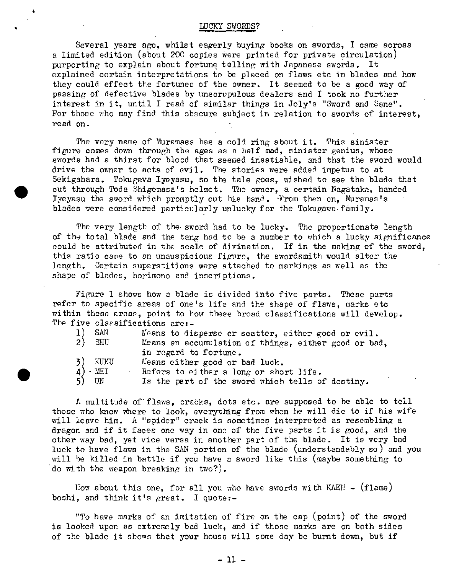#### LUCKY SWORDS?

Several years ago, whilst eagerly buying books on swords, I came across a limited edition (about 200 copies were printed for private circulation) purporting to explain about fortune telling with Japanese swords. It explained certain interpretations to be placed on flaws etc in blades and how they could effect the fortunes of the owner. It seemed to be a good way of passing of defective blades by unscrupulous dealers and I took no further interest in it, until I read of similar things in Joly's "Sword and Sane". For those who may find this obscure subject in relation to swords of interest, read on.

The very name of Muramasa has a cold ring about it. This sinister figure comes down through the ages as a half mad, sinister genius, whose swords had a thirst for blood that seemed insatiable, and that the sword would drive the owner to acts of evil. The stories were added impetus to at Sekigahara. Tokugava Iyeyasu, so the tale goes, wished to see the blade that cut through Poda Shigemasa's helmet. The owner, a certain Nagataka, handed Iyeyasu the sword which promptly cut his hand. From then on, Muramas's blades were considered particularly unlucky for the Tokugawa family.

The very length of the sword had to be lucky. The proportionate length of the total blade and the tang had to be a number to which a lucky significance could he attributed in the scale of divination. If in the making of the sword, this ratio came to an unauspicious figure, the swordsmith would alter the length. Certain superstitions were attached to markings as well as the shape of blades, horimono and inscriptions.

Figure 1 shows how a blade is divided into five parts. These parts refer to specific areas of one's life and the shape of flaws, marks etc within these areas, point to how these broad classifications will develop. *The* five clarsifications are:-

| <b>SAN</b>            | Means to disperse or scatter, either good or evil.   |
|-----------------------|------------------------------------------------------|
| SHU<br>2)             | Means an accumulation of things, either good or bad, |
|                       | in regard to fortune.                                |
| KUKU<br>3)            | Means either good or bad luck.                       |
| $4) \cdot \text{MET}$ | Refers to either a long or short life.               |
| 5) UN                 | Is the part of the sword which tells of destiny.     |

A multitude of flaws, cracks, dots etc. are supposed to be able to tell those who Imow where to look, everytthng from when he will die to if his wife will leave him. A "spider" crack is sometimes interpreted as resembling a dragon and if it faces one way in one of the five parts it is good, and the other way bad, yet vice versa in another part of the blade. It is very bad luck to have flaws in the SAN portion of the blade (understandably so) and you will be killed in battle if you have a sword like this (maybe something to do with the weapon breaking in two?).

How about this one, for all you who have swords with KAEH  $-$  (flame) boshi, and think it's great. I quote:-

"To have marks of an imitation of fire on the cap (point) of the sword is looked upon as extremely bad luck, and if those marks are on both sides of the blade it shows that your house will some day be bumt down, but if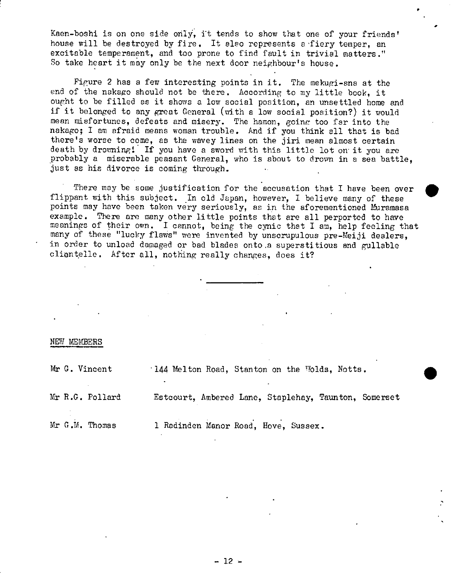Kaen-boshi is on one side only, it tends to show that one of your friends' house will be destroyed by fire. It also represents a fiery temper, an excitable temperament, and too prone to find fault in trivial matters." So take heart it may only be the next door neighbour's house.

Fipure 2 has a few interesting points in it. The mekugi-ana at the end of the nakago should not be there. According to my little book, it ought to be filled as it shows a low social position, an unsettled home and if it belonged to any great General (with a low social position?) it would mean misfortunes, defeats and misery. The hamon, goinc too far into the nakago; I am afraid means woman trouble. And if you think all that is bad there's worse to come, as the wavey lines on the jiri mean almost certain death by drowning! If you have a sword with this little lot on it you are probably a miserable peasant General, who is about to drown in a sea battle, just as his divorce is coming through.

There may be some justification for the accusation that I have been over flippant with this subject. In old Japan, however, I believe many of these points may have been taken very seriously, as in the aforementioned Muramasa example. There are many other little points that are all perported to have meanings of their own. I cannot, being the cynic that I am, help feeling that many of these "lucky flaws" were invented by unscrupulous pre-Meiji dealers, in order to unload damaged or bad blades onto .a superstitious and gullable cliontelle. After all, nothing really changes, does it?

## NEW MEMBERS

Mr G. Vincent 144 Melton Road, Stanton on the Wolds, Notts.

Mr R.G. Pollard Estcourt, Ambered Lane, Staplehay, Taunton, Somerset

Mr G.M. Thomas 1 Radinden Manor Road, Hove, Sussex.